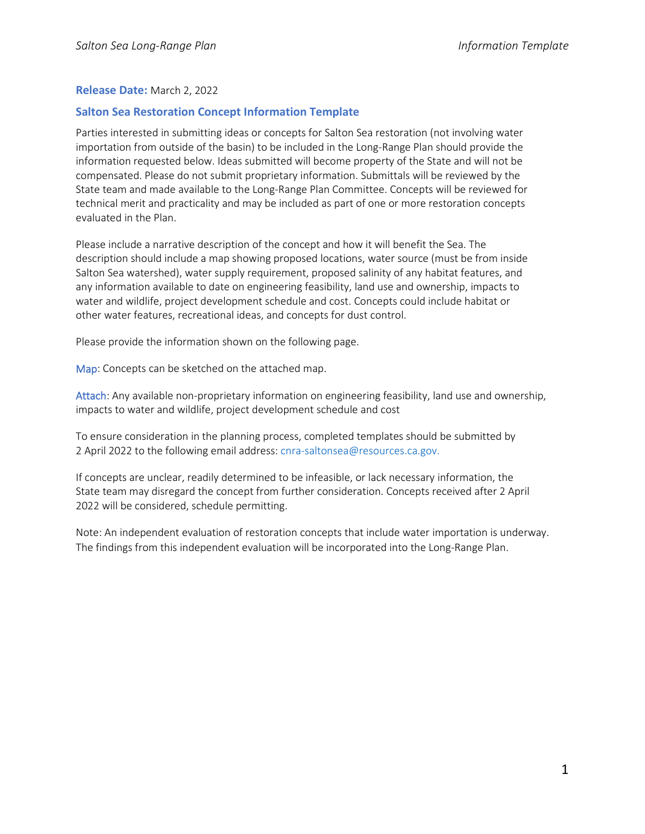## **Release Date:** March 2, 2022

## **Salton Sea Restoration Concept Information Template**

Parties interested in submitting ideas or concepts for Salton Sea restoration (not involving water importation from outside of the basin) to be included in the Long-Range Plan should provide the information requested below. Ideas submitted will become property of the State and will not be compensated. Please do not submit proprietary information. Submittals will be reviewed by the State team and made available to the Long-Range Plan Committee. Concepts will be reviewed for technical merit and practicality and may be included as part of one or more restoration concepts evaluated in the Plan.

Please include a narrative description of the concept and how it will benefit the Sea. The description should include a map showing proposed locations, water source (must be from inside Salton Sea watershed), water supply requirement, proposed salinity of any habitat features, and any information available to date on engineering feasibility, land use and ownership, impacts to water and wildlife, project development schedule and cost. Concepts could include habitat or other water features, recreational ideas, and concepts for dust control.

Please provide the information shown on the following page.

Map: Concepts can be sketched on the attached map.

Attach: Any available non-proprietary information on engineering feasibility, land use and ownership, impacts to water and wildlife, project development schedule and cost

To ensure consideration in the planning process, completed templates should be submitted by 2 April 2022 to the following email address[: cnra-saltonsea@resources.ca.gov.](mailto:cnra-saltonsea@resources.ca.gov)

If concepts are unclear, readily determined to be infeasible, or lack necessary information, the State team may disregard the concept from further consideration. Concepts received after 2 April 2022 will be considered, schedule permitting.

Note: An independent evaluation of restoration concepts that include water importation is underway. The findings from this independent evaluation will be incorporated into the Long-Range Plan.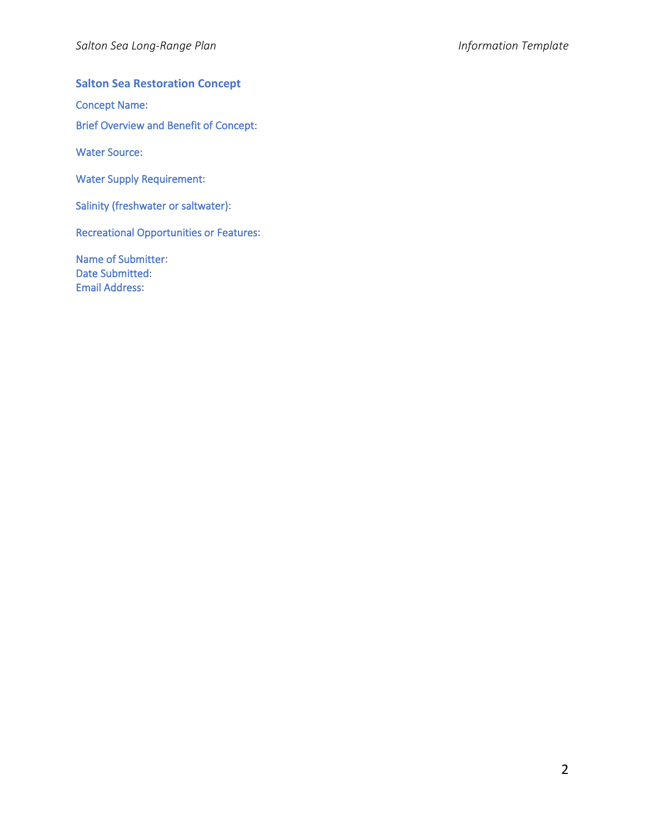## **Salton Sea Restoration Concept**

Concept Name:

Brief Overview and Benefit of Concept:

Water Source:

Water Supply Requirement:

Salinity (freshwater or saltwater):

Recreational Opportunities or Features:

Name of Submitter: Date Submitted: Email Address: